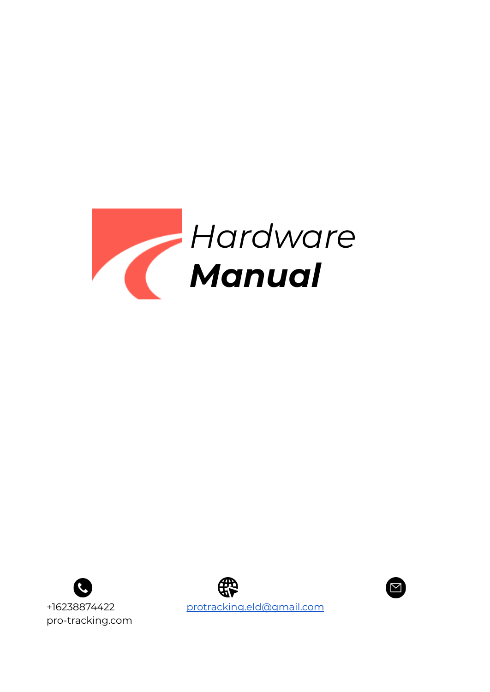





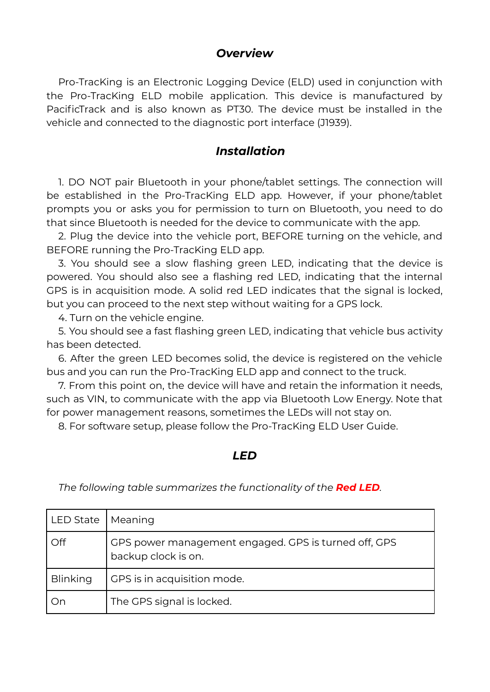## *Overview*

Pro-TracKing is an Electronic Logging Device (ELD) used in conjunction with the Pro-TracKing ELD mobile application. This device is manufactured by PacificTrack and is also known as PT30. The device must be installed in the vehicle and connected to the diagnostic port interface (J1939).

## *Installation*

1. DO NOT pair Bluetooth in your phone/tablet settings. The connection will be established in the Pro-TracKing ELD app. However, if your phone/tablet prompts you or asks you for permission to turn on Bluetooth, you need to do that since Bluetooth is needed for the device to communicate with the app.

2. Plug the device into the vehicle port, BEFORE turning on the vehicle, and BEFORE running the Pro-TracKing ELD app.

3. You should see a slow flashing green LED, indicating that the device is powered. You should also see a flashing red LED, indicating that the internal GPS is in acquisition mode. A solid red LED indicates that the signal is locked, but you can proceed to the next step without waiting for a GPS lock.

4. Turn on the vehicle engine.

5. You should see a fast flashing green LED, indicating that vehicle bus activity has been detected.

6. After the green LED becomes solid, the device is registered on the vehicle bus and you can run the Pro-TracKing ELD app and connect to the truck.

7. From this point on, the device will have and retain the information it needs, such as VIN, to communicate with the app via Bluetooth Low Energy. Note that for power management reasons, sometimes the LEDs will not stay on.

8. For software setup, please follow the Pro-TracKing ELD User Guide.

## *LED*

| <b>LED State</b> | Meaning                                                                     |
|------------------|-----------------------------------------------------------------------------|
| Off              | GPS power management engaged. GPS is turned off, GPS<br>backup clock is on. |
| <b>Blinking</b>  | GPS is in acquisition mode.                                                 |
| On               | The GPS signal is locked.                                                   |

*The following table summarizes the functionality of the Red LED.*